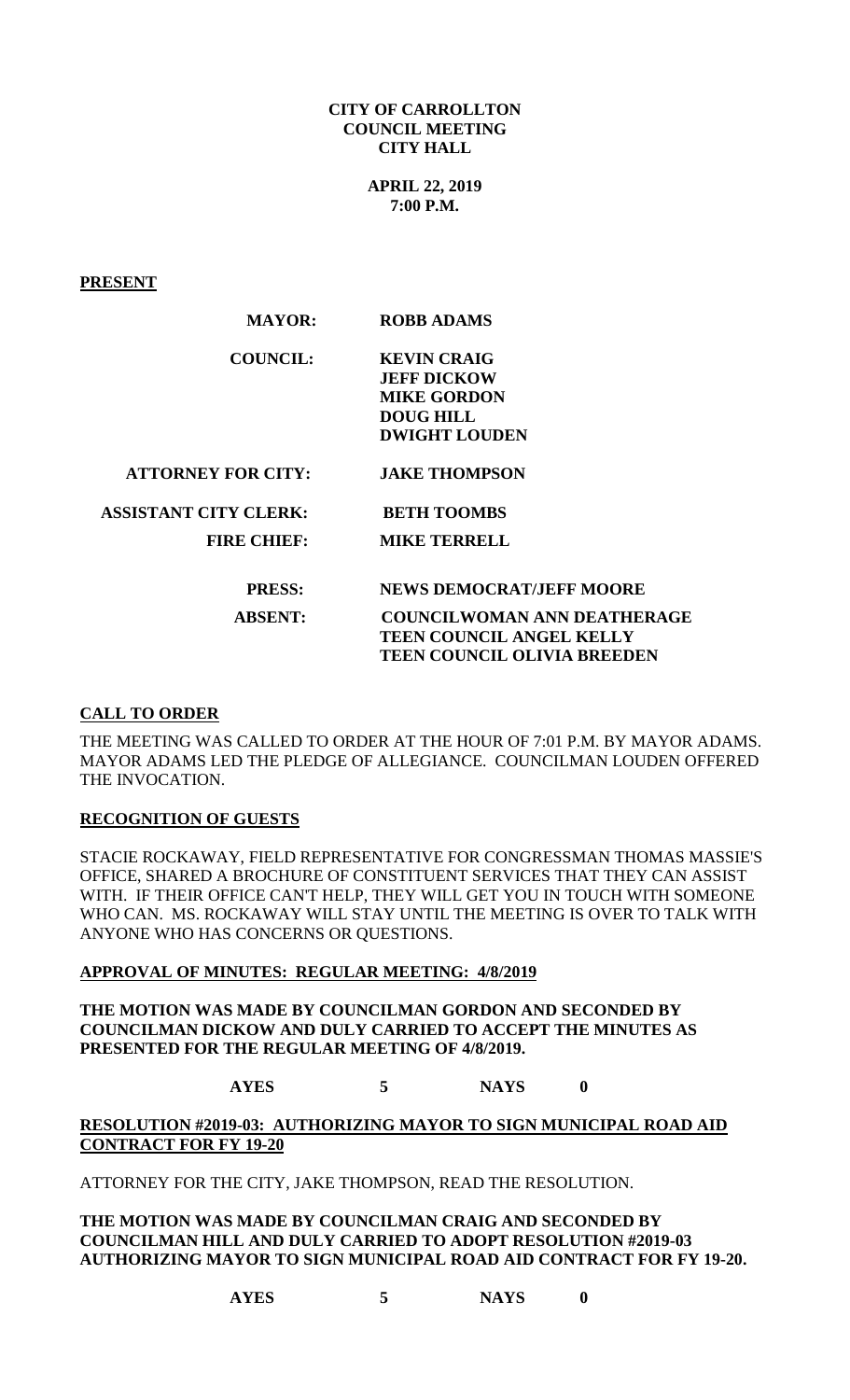### **CITY OF CARROLLTON COUNCIL MEETING CITY HALL**

**APRIL 22, 2019 7:00 P.M.**

**PRESENT**

| <b>ROBB ADAMS</b>                  |
|------------------------------------|
| <b>KEVIN CRAIG</b>                 |
| <b>JEFF DICKOW</b>                 |
| <b>MIKE GORDON</b>                 |
| <b>DOUG HILL</b>                   |
| <b>DWIGHT LOUDEN</b>               |
| <b>JAKE THOMPSON</b>               |
| <b>BETH TOOMBS</b>                 |
| <b>MIKE TERRELL</b>                |
| <b>NEWS DEMOCRAT/JEFF MOORE</b>    |
| <b>COUNCILWOMAN ANN DEATHERAGE</b> |
| <b>TEEN COUNCIL ANGEL KELLY</b>    |
|                                    |
| <b>TEEN COUNCIL OLIVIA BREEDEN</b> |
|                                    |

### **CALL TO ORDER**

THE MEETING WAS CALLED TO ORDER AT THE HOUR OF 7:01 P.M. BY MAYOR ADAMS. MAYOR ADAMS LED THE PLEDGE OF ALLEGIANCE. COUNCILMAN LOUDEN OFFERED THE INVOCATION.

### **RECOGNITION OF GUESTS**

STACIE ROCKAWAY, FIELD REPRESENTATIVE FOR CONGRESSMAN THOMAS MASSIE'S OFFICE, SHARED A BROCHURE OF CONSTITUENT SERVICES THAT THEY CAN ASSIST WITH. IF THEIR OFFICE CAN'T HELP, THEY WILL GET YOU IN TOUCH WITH SOMEONE WHO CAN. MS. ROCKAWAY WILL STAY UNTIL THE MEETING IS OVER TO TALK WITH ANYONE WHO HAS CONCERNS OR QUESTIONS.

#### **APPROVAL OF MINUTES: REGULAR MEETING: 4/8/2019**

**THE MOTION WAS MADE BY COUNCILMAN GORDON AND SECONDED BY COUNCILMAN DICKOW AND DULY CARRIED TO ACCEPT THE MINUTES AS PRESENTED FOR THE REGULAR MEETING OF 4/8/2019.**

**AYES 5 NAYS 0**

## **RESOLUTION #2019-03: AUTHORIZING MAYOR TO SIGN MUNICIPAL ROAD AID CONTRACT FOR FY 19-20**

ATTORNEY FOR THE CITY, JAKE THOMPSON, READ THE RESOLUTION.

**THE MOTION WAS MADE BY COUNCILMAN CRAIG AND SECONDED BY COUNCILMAN HILL AND DULY CARRIED TO ADOPT RESOLUTION #2019-03 AUTHORIZING MAYOR TO SIGN MUNICIPAL ROAD AID CONTRACT FOR FY 19-20.**

**AYES 5 NAYS 0**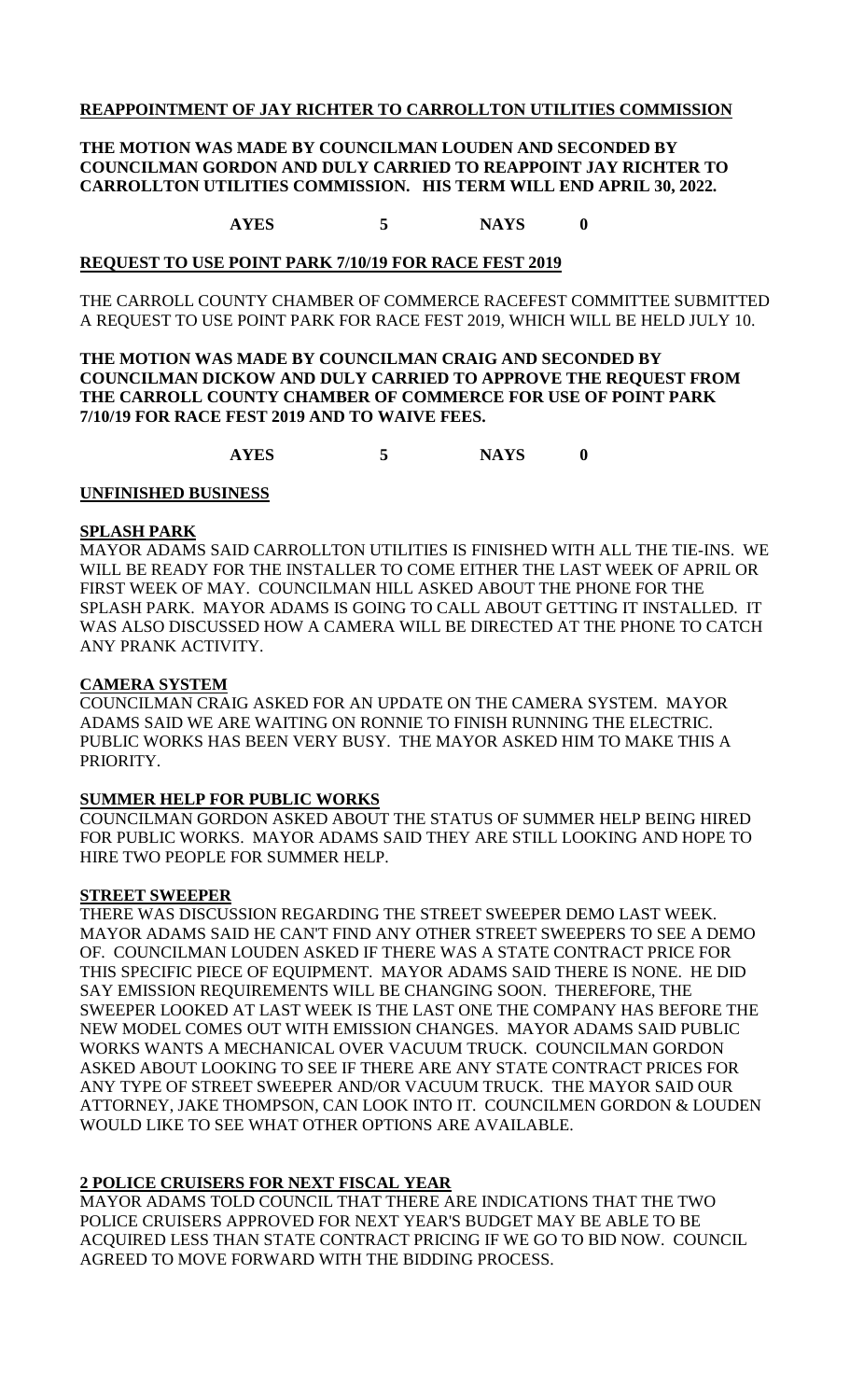## **REAPPOINTMENT OF JAY RICHTER TO CARROLLTON UTILITIES COMMISSION**

### **THE MOTION WAS MADE BY COUNCILMAN LOUDEN AND SECONDED BY COUNCILMAN GORDON AND DULY CARRIED TO REAPPOINT JAY RICHTER TO CARROLLTON UTILITIES COMMISSION. HIS TERM WILL END APRIL 30, 2022.**

**AYES 5 NAYS 0**

### **REQUEST TO USE POINT PARK 7/10/19 FOR RACE FEST 2019**

THE CARROLL COUNTY CHAMBER OF COMMERCE RACEFEST COMMITTEE SUBMITTED A REQUEST TO USE POINT PARK FOR RACE FEST 2019, WHICH WILL BE HELD JULY 10.

### **THE MOTION WAS MADE BY COUNCILMAN CRAIG AND SECONDED BY COUNCILMAN DICKOW AND DULY CARRIED TO APPROVE THE REQUEST FROM THE CARROLL COUNTY CHAMBER OF COMMERCE FOR USE OF POINT PARK 7/10/19 FOR RACE FEST 2019 AND TO WAIVE FEES.**

**AYES 5 NAYS 0**

### **UNFINISHED BUSINESS**

### **SPLASH PARK**

MAYOR ADAMS SAID CARROLLTON UTILITIES IS FINISHED WITH ALL THE TIE-INS. WE WILL BE READY FOR THE INSTALLER TO COME EITHER THE LAST WEEK OF APRIL OR FIRST WEEK OF MAY. COUNCILMAN HILL ASKED ABOUT THE PHONE FOR THE SPLASH PARK. MAYOR ADAMS IS GOING TO CALL ABOUT GETTING IT INSTALLED. IT WAS ALSO DISCUSSED HOW A CAMERA WILL BE DIRECTED AT THE PHONE TO CATCH ANY PRANK ACTIVITY.

## **CAMERA SYSTEM**

COUNCILMAN CRAIG ASKED FOR AN UPDATE ON THE CAMERA SYSTEM. MAYOR ADAMS SAID WE ARE WAITING ON RONNIE TO FINISH RUNNING THE ELECTRIC. PUBLIC WORKS HAS BEEN VERY BUSY. THE MAYOR ASKED HIM TO MAKE THIS A PRIORITY.

# **SUMMER HELP FOR PUBLIC WORKS**

COUNCILMAN GORDON ASKED ABOUT THE STATUS OF SUMMER HELP BEING HIRED FOR PUBLIC WORKS. MAYOR ADAMS SAID THEY ARE STILL LOOKING AND HOPE TO HIRE TWO PEOPLE FOR SUMMER HELP.

### **STREET SWEEPER**

THERE WAS DISCUSSION REGARDING THE STREET SWEEPER DEMO LAST WEEK. MAYOR ADAMS SAID HE CAN'T FIND ANY OTHER STREET SWEEPERS TO SEE A DEMO OF. COUNCILMAN LOUDEN ASKED IF THERE WAS A STATE CONTRACT PRICE FOR THIS SPECIFIC PIECE OF EQUIPMENT. MAYOR ADAMS SAID THERE IS NONE. HE DID SAY EMISSION REQUIREMENTS WILL BE CHANGING SOON. THEREFORE, THE SWEEPER LOOKED AT LAST WEEK IS THE LAST ONE THE COMPANY HAS BEFORE THE NEW MODEL COMES OUT WITH EMISSION CHANGES. MAYOR ADAMS SAID PUBLIC WORKS WANTS A MECHANICAL OVER VACUUM TRUCK. COUNCILMAN GORDON ASKED ABOUT LOOKING TO SEE IF THERE ARE ANY STATE CONTRACT PRICES FOR ANY TYPE OF STREET SWEEPER AND/OR VACUUM TRUCK. THE MAYOR SAID OUR ATTORNEY, JAKE THOMPSON, CAN LOOK INTO IT. COUNCILMEN GORDON & LOUDEN WOULD LIKE TO SEE WHAT OTHER OPTIONS ARE AVAILABLE.

# **2 POLICE CRUISERS FOR NEXT FISCAL YEAR**

MAYOR ADAMS TOLD COUNCIL THAT THERE ARE INDICATIONS THAT THE TWO POLICE CRUISERS APPROVED FOR NEXT YEAR'S BUDGET MAY BE ABLE TO BE ACQUIRED LESS THAN STATE CONTRACT PRICING IF WE GO TO BID NOW. COUNCIL AGREED TO MOVE FORWARD WITH THE BIDDING PROCESS.